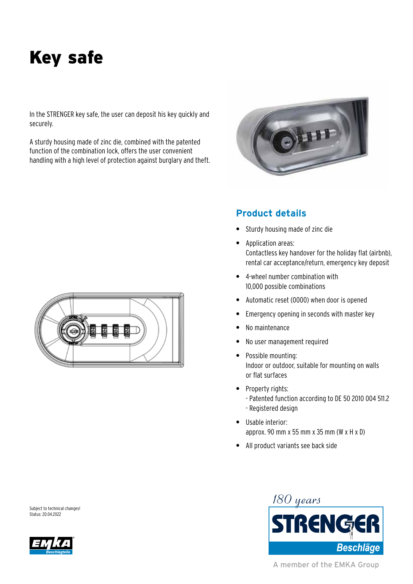# Key safe

In the STRENGER key safe, the user can deposit his key quickly and securely.

A sturdy housing made of zinc die, combined with the patented function of the combination lock, offers the user convenient handling with a high level of protection against burglary and theft.



#### **Product details**

- **•** Sturdy housing made of zinc die
- **•** Application areas: Contactless key handover for the holiday flat (airbnb), rental car acceptance/return, emergency key deposit
- **•** 4-wheel number combination with 10,000 possible combinations
- **•** Automatic reset (0000) when door is opened
- **•** Emergency opening in seconds with master key
- **•** No maintenance
- **•** No user management required
- **•** Possible mounting: Indoor or outdoor, suitable for mounting on walls or flat surfaces
- **•** Property rights: - Patented function according to DE 50 2010 004 511.2 - Registered design
- **•** Usable interior: approx. 90 mm x 55 mm x 35 mm (W x H x D)
- **•** All product variants see back side





A member of the EMKA Group